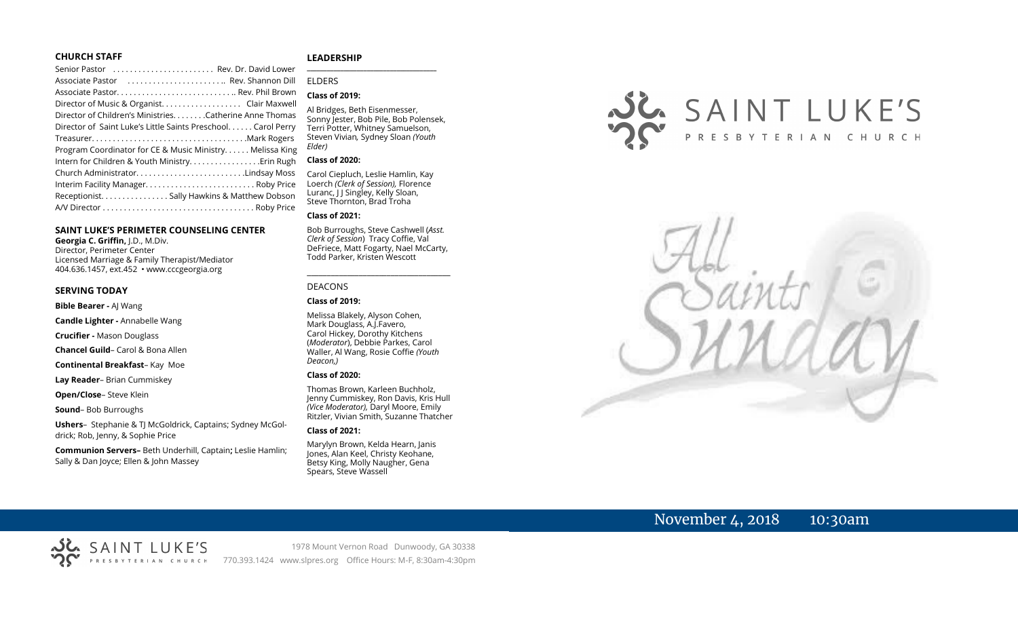#### **CHURCH STAFF**

#### **LEADERSHIP**

| Senior Pastor  Rev. Dr. David Lower                           | $\overline{\phantom{a}}$ |
|---------------------------------------------------------------|--------------------------|
| Associate Pastor  Rev. Shannon Dill                           | <b>ELDERS</b>            |
| Associate Pastor Rev. Phil Brown                              | Class of                 |
| Director of Music & Organist. Clair Maxwell                   |                          |
| Director of Children's Ministries. Catherine Anne Thomas      | Al Bridge<br>Sonny le    |
| Director of Saint Luke's Little Saints Preschool. Carol Perry | <b>Terri Pot</b>         |
|                                                               | Steven V                 |
| Program Coordinator for CE & Music Ministry Melissa King      | Elder)                   |
|                                                               | Class of                 |
| Church AdministratorLindsay Moss                              | Carol Cie                |
|                                                               | Loerch (                 |
| Receptionist. Sally Hawkins & Matthew Dobson                  | Luranc, I                |
|                                                               | Steve Th                 |

#### **SAINT LUKE'S PERIMETER COUNSELING CENTER**

**Georgia C. Griffin,** J.D., M.Div. Director, Perimeter Center Licensed Marriage & Family Therapist/Mediator 404.636.1457, ext.452 • www.cccgeorgia.org

#### **SERVING TODAY**

**Bible Bearer -** AJ Wang

**Candle Lighter -** Annabelle Wang

**Crucifier -** Mason Douglass

**Chancel Guild**– Carol & Bona Allen

**Continental Breakfast**– Kay Moe

**Lay Reader**– Brian Cummiskey

SAINT LUKE'S

**Open/Close**– Steve Klein

**Sound**– Bob Burroughs

**Ushers**–Stephanie & TJ McGoldrick, Captains; Sydney McGoldrick; Rob, Jenny, & Sophie Price

**Communion Servers–** Beth Underhill, Captain**;** Leslie Hamlin; Sally & Dan Joyce; Ellen & John Massey

#### **\_\_\_\_\_\_\_\_\_\_\_\_\_\_\_\_\_\_\_\_\_\_\_\_\_\_\_\_\_\_\_\_\_\_\_\_\_\_\_**

## **Class of 2019:**

Al Bridges, Beth Eisenmesser, Sonny Jester, Bob Pile, Bob Polensek, Terri Potter, Whitney Samuelson, Steven Vivian*,* Sydney Sloan *(Youth Elder)*

#### **Class of 2020:**

Carol Ciepluch, Leslie Hamlin, Kay Loerch *(Clerk of Session),* Florence Luranc, J J Singley, Kelly Sloan, Steve Thornton, Brad Troha

#### **Class of 2021:**

Bob Burroughs, Steve Cashwell (*Asst. Clerk of Session*) Tracy Coffie, Val DeFriece, Matt Fogarty, Nael McCarty, Todd Parker, Kristen Wescott

\_\_\_\_\_\_\_\_\_\_\_\_\_\_\_\_\_\_\_\_\_\_\_\_\_\_\_\_\_\_\_\_\_\_\_\_

#### DEACONS

#### **Class of 2019:**

Melissa Blakely, Alyson Cohen, Mark Douglass, A.J.Favero, Carol Hickey, Dorothy Kitchens (*Moderator*), Debbie Parkes, Carol Waller, Al Wang, Rosie Coffie *(Youth Deacon,)* 

#### **Class of 2020:**

Thomas Brown, Karleen Buchholz, Jenny Cummiskey, Ron Davis, Kris Hull *(Vice Moderator),* Daryl Moore, Emily Ritzler, Vivian Smith, Suzanne Thatcher

#### **Class of 2021:**

Marylyn Brown, Kelda Hearn, Janis Jones, Alan Keel, Christy Keohane, Betsy King, Molly Naugher, Gena Spears, Steve Wassell





# November 4, 2018 10:30am

1978 Mount Vernon Road Dunwoody, GA 30338 770.393.1424 www.slpres.org Office Hours: M-F, 8:30am-4:30pm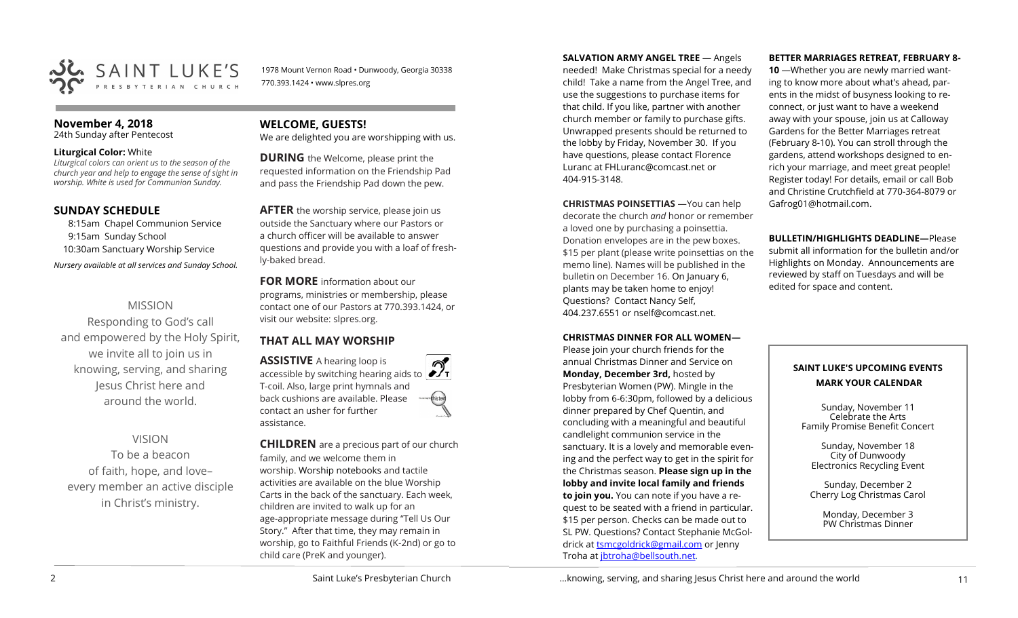

1978 Mount Vernon Road • Dunwoody, Georgia 30338 770.393.1424 • www.slpres.org

#### **November 4, 2018**

24th Sunday after Pentecost

#### **Liturgical Color:** White

*Liturgical colors can orient us to the season of the church year and help to engage the sense of sight in worship. White is used for Communion Sunday.*

#### **SUNDAY SCHEDULE**

8:15am Chapel Communion Service 9:15am Sunday School 10:30am Sanctuary Worship Service *Nursery available at all services and Sunday School.* 

#### MISSION

Responding to God's call and empowered by the Holy Spirit, we invite all to join us in knowing, serving, and sharing Jesus Christ here and around the world.

#### VISION

To be a beacon of faith, hope, and love– every member an active disciple in Christ's ministry.

## **WELCOME, GUESTS!**

We are delighted you are worshipping with us.

**DURING** the Welcome, please print the requested information on the Friendship Pad and pass the Friendship Pad down the pew.

**AFTER** the worship service, please join us outside the Sanctuary where our Pastors or a church officer will be available to answer questions and provide you with a loaf of freshly-baked bread.

**FOR MORE** information about our programs, ministries or membership, please contact one of our Pastors at 770.393.1424, or visit our website: slpres.org.

## **THAT ALL MAY WORSHIP**

**ASSISTIVE** A hearing loop is **ASSISTIVE** A hearing loop is accessible by switching hearing aids to  $\mathcal{D}$ T-coil. Also, large print hymnals and back cushions are available. Please contact an usher for further assistance.

**CHILDREN** are a precious part of our church family, and we welcome them in worship. Worship notebooks and tactile activities are available on the blue Worship Carts in the back of the sanctuary. Each week, children are invited to walk up for an age-appropriate message during "Tell Us Our Story." After that time, they may remain in worship, go to Faithful Friends (K-2nd) or go to child care (PreK and younger).

**SALVATION ARMY ANGEL TREE** — Angels needed! Make Christmas special for a needy child! Take a name from the Angel Tree, and use the suggestions to purchase items for that child. If you like, partner with another church member or family to purchase gifts. Unwrapped presents should be returned to the lobby by Friday, November 30. If you have questions, please contact Florence Luranc at [FHLuranc@comcast.net](mailto:FHLuranc@comcast.net) or 404-915-3148.

**CHRISTMAS POINSETTIAS** —You can help decorate the church *and* honor or remember a loved one by purchasing a poinsettia. Donation envelopes are in the pew boxes. \$15 per plant (please write poinsettias on the memo line). Names will be published in the bulletin on December 16. On January 6, plants may be taken home to enjoy! Questions? Contact Nancy Self, 404.237.6551 or nself@comcast.net.

#### **CHRISTMAS DINNER FOR ALL WOMEN—**

Please join your church friends for the annual Christmas Dinner and Service on **Monday, December 3rd,** hosted by Presbyterian Women (PW). Mingle in the lobby from 6-6:30pm, followed by a delicious dinner prepared by Chef Quentin, and concluding with a meaningful and beautiful candlelight communion service in the sanctuary. It is a lovely and memorable evening and the perfect way to get in the spirit for the Christmas season. **Please sign up in the lobby and invite local family and friends to join you.** You can note if you have a request to be seated with a friend in particular. \$15 per person. Checks can be made out to SL PW. Questions? Contact Stephanie McGoldrick at [tsmcgoldrick@gmail.com](mailto:tsmcgoldrick@gmail.com) or Jenny Troha at [jbtroha@bellsouth.net.](mailto:jbtroha@bellsouth.net)

#### **BETTER MARRIAGES RETREAT, FEBRUARY 8-**

**10** —Whether you are newly married wanting to know more about what's ahead, parents in the midst of busyness looking to reconnect, or just want to have a weekend away with your spouse, join us at Calloway Gardens for the Better Marriages retreat (February 8-10). You can stroll through the gardens, attend workshops designed to enrich your marriage, and meet great people! Register today! For details, email or call Bob and Christine Crutchfield at 770-364-8079 or [Gafrog01@hotmail.com.](mailto:Gafrog01@hotmail.com)

**BULLETIN/HIGHLIGHTS DEADLINE—**Please submit all information for the bulletin and/or Highlights on Monday. Announcements are reviewed by staff on Tuesdays and will be edited for space and content.

## **SAINT LUKE'S UPCOMING EVENTS MARK YOUR CALENDAR**

Sunday, November 11 Celebrate the Arts Family Promise Benefit Concert

Sunday, November 18 City of Dunwoody Electronics Recycling Event

Sunday, December 2 Cherry Log Christmas Carol

> Monday, December 3 PW Christmas Dinner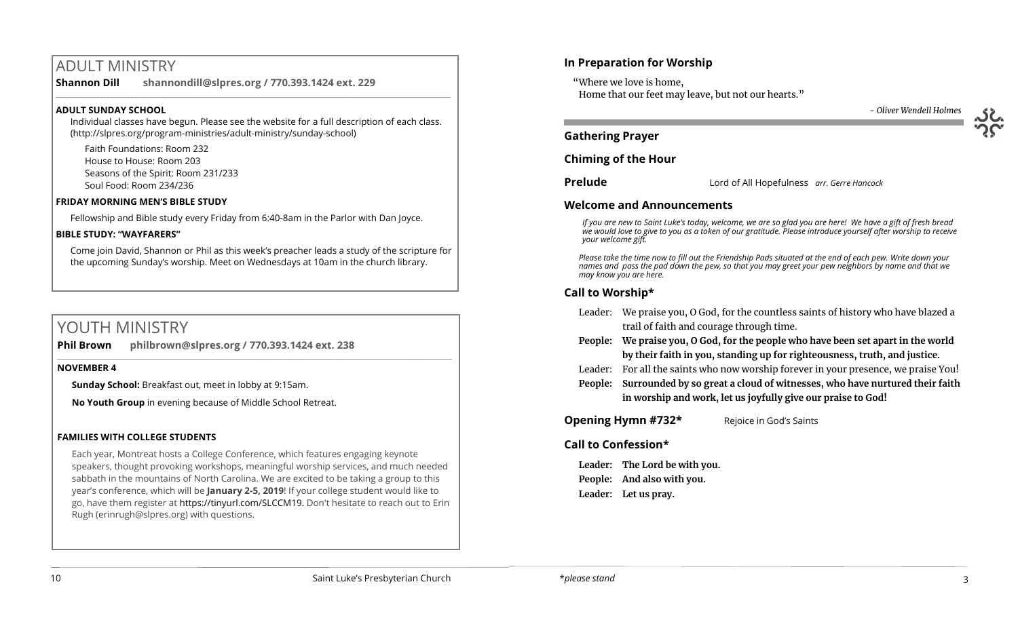# ADULT MINISTRY

**Shannon Dill shannondill@slpres.org / 770.393.1424 ext. 229**   $\_$  ,  $\_$  ,  $\_$  ,  $\_$  ,  $\_$  ,  $\_$  ,  $\_$  ,  $\_$  ,  $\_$  ,  $\_$  ,  $\_$  ,  $\_$  ,  $\_$  ,  $\_$  ,  $\_$  ,  $\_$  ,  $\_$  ,  $\_$  ,  $\_$  ,  $\_$ 

#### **ADULT SUNDAY SCHOOL**

Individual classes have begun. Please see the website for a full description of each class. (http://slpres.org/program-ministries/adult-ministry/sunday-school)

Faith Foundations: Room 232 House to House: Room 203 Seasons of the Spirit: Room 231/233 Soul Food: Room 234/236

#### **FRIDAY MORNING MEN'S BIBLE STUDY**

Fellowship and Bible study every Friday from 6:40-8am in the Parlor with Dan Joyce.

#### **BIBLE STUDY: "WAYFARERS"**

Come join David, Shannon or Phil as this week's preacher leads a study of the scripture for the upcoming Sunday's worship. Meet on Wednesdays at 10am in the church library.

# YOUTH MINISTRY

**Phil Brown philbrown@slpres.org / 770.393.1424 ext. 238**   $\_$  ,  $\_$  ,  $\_$  ,  $\_$  ,  $\_$  ,  $\_$  ,  $\_$  ,  $\_$  ,  $\_$  ,  $\_$  ,  $\_$  ,  $\_$  ,  $\_$  ,  $\_$  ,  $\_$  ,  $\_$  ,  $\_$  ,  $\_$  ,  $\_$ 

#### **NOVEMBER 4**

**Sunday School:** Breakfast out, meet in lobby at 9:15am.

**No Youth Group** in evening because of Middle School Retreat.

#### **FAMILIES WITH COLLEGE STUDENTS**

Each year, Montreat hosts a College Conference, which features engaging keynote speakers, thought provoking workshops, meaningful worship services, and much needed sabbath in the mountains of North Carolina. We are excited to be taking a group to this year's conference, which will be **January 2-5, 2019**! If your college student would like to go, have them register at [https://tinyurl.com/SLCCM19.](https://tinyurl.com/SLCCM19) Don't hesitate to reach out to Erin Rugh (erinrugh@slpres.org) with questions.

## **In Preparation for Worship**

 "Where we love is home, Home that our feet may leave, but not our hearts."



## **Gathering Prayer**

**Chiming of the Hour**

**Prelude** Lord of All Hopefulness *arr. Gerre Hancock*

#### **Welcome and Announcements**

*If you are new to Saint Luke's today, welcome, we are so glad you are here! We have a gift of fresh bread we would love to give to you as a token of our gratitude. Please introduce yourself after worship to receive your welcome gift.*

*Please take the time now to fill out the Friendship Pads situated at the end of each pew. Write down your names and pass the pad down the pew, so that you may greet your pew neighbors by name and that we may know you are here.*

## **Call to Worship\***

- Leader: We praise you, O God, for the countless saints of history who have blazed a trail of faith and courage through time.
- **People: We praise you, O God, for the people who have been set apart in the world by their faith in you, standing up for righteousness, truth, and justice.**
- Leader: For all the saints who now worship forever in your presence, we praise You!
- **People: Surrounded by so great a cloud of witnesses, who have nurtured their faith in worship and work, let us joyfully give our praise to God!**

**Opening Hymn #732\*** Rejoice in God's Saints

## **Call to Confession\***

**Leader: The Lord be with you. People: And also with you. Leader: Let us pray.**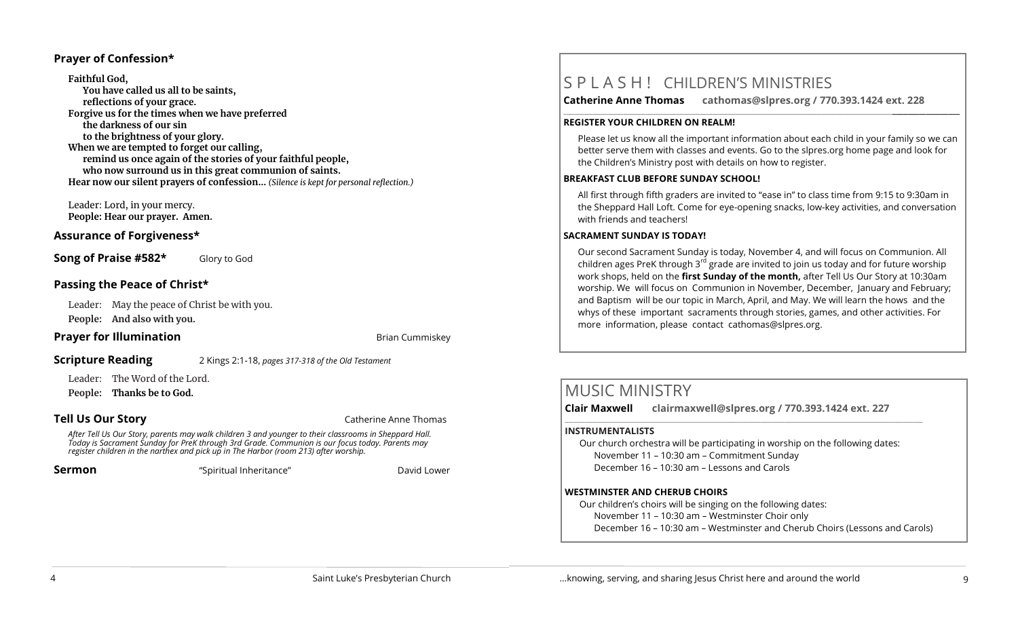#### **Prayer of Confession\***

**Faithful God, You have called us all to be saints, reflections of your grace. Forgive us for the times when we have preferred the darkness of our sin to the brightness of your glory. When we are tempted to forget our calling, remind us once again of the stories of your faithful people, who now surround us in this great communion of saints. Hear now our silent prayers of confession…** *(Silence is kept for personal reflection.)*

Leader: Lord, in your mercy. **People: Hear our prayer. Amen.**

## **Assurance of Forgiveness\***

**Song of Praise #582\*** Glory to God

## **Passing the Peace of Christ\***

Leader: May the peace of Christ be with you. **People: And also with you.** 

## **Prayer for Illumination Brian Cummiskey**

**Scripture Reading** 2 Kings 2:1-18, *pages 317-318 of the Old Testament* 

Leader: The Word of the Lord.

**People: Thanks be to God.**

**Tell Us Our Story Catherine Anne Thomas** 

*After Tell Us Our Story, parents may walk children 3 and younger to their classrooms in Sheppard Hall. Today is Sacrament Sunday for PreK through 3rd Grade. Communion is our focus today. Parents may register children in the narthex and pick up in The Harbor (room 213) after worship.* 

**Sermon** "Spiritual Inheritance" **David Lower** David Lower

# S P L A S H ! CHILDREN'S MINISTRIES

**Catherine Anne Thomas cathomas@slpres.org / 770.393.1424 ext. 228** 

#### **REGISTER YOUR CHILDREN ON REALM!**

Please let us know all the important information about each child in your family so we can better serve them with classes and events. Go to the slpres.org home page and look for the Children's Ministry post with details on how to register.

**\_\_\_\_\_\_\_\_\_\_\_\_\_\_\_\_\_\_\_\_\_\_\_\_\_\_\_\_\_\_\_\_\_\_\_\_\_\_\_\_\_\_\_\_\_\_\_\_\_\_\_\_\_\_\_\_\_\_\_\_\_\_\_\_\_\_\_\_\_\_\_\_\_\_\_\_\_\_\_\_\_\_\_\_\_\_\_\_\_\_\_\_\_\_\_\_\_\_\_\_\_\_\_\_\_\_** 

#### **BREAKFAST CLUB BEFORE SUNDAY SCHOOL!**

All first through fifth graders are invited to "ease in" to class time from 9:15 to 9:30am in the Sheppard Hall Loft. Come for eye-opening snacks, low-key activities, and conversation with friends and teachers!

#### **SACRAMENT SUNDAY IS TODAY!**

Our second Sacrament Sunday is today, November 4, and will focus on Communion. All children ages PreK through 3<sup>rd</sup> grade are invited to join us today and for future worship work shops, held on the **first Sunday of the month,** after Tell Us Our Story at 10:30am worship. We will focus on Communion in November, December, January and February; and Baptism will be our topic in March, April, and May. We will learn the hows and the whys of these important sacraments through stories, games, and other activities. For more information, please contact [cathomas@slpres.org.](mailto:cathomas@slpres.org)

# MUSIC MINISTRY

**Clair Maxwell clairmaxwell@slpres.org / 770.393.1424 ext. 227** 

#### **INSTRUMENTALISTS**

Our church orchestra will be participating in worship on the following dates: November 11 – 10:30 am – Commitment Sunday December 16 – 10:30 am – Lessons and Carols

 $\_$  ,  $\_$  ,  $\_$  ,  $\_$  ,  $\_$  ,  $\_$  ,  $\_$  ,  $\_$  ,  $\_$  ,  $\_$  ,  $\_$  ,  $\_$  ,  $\_$  ,  $\_$  ,  $\_$  ,  $\_$  ,  $\_$  ,  $\_$ 

#### **WESTMINSTER AND CHERUB CHOIRS**

Our children's choirs will be singing on the following dates: November 11 – 10:30 am – Westminster Choir only

December 16 – 10:30 am – Westminster and Cherub Choirs (Lessons and Carols)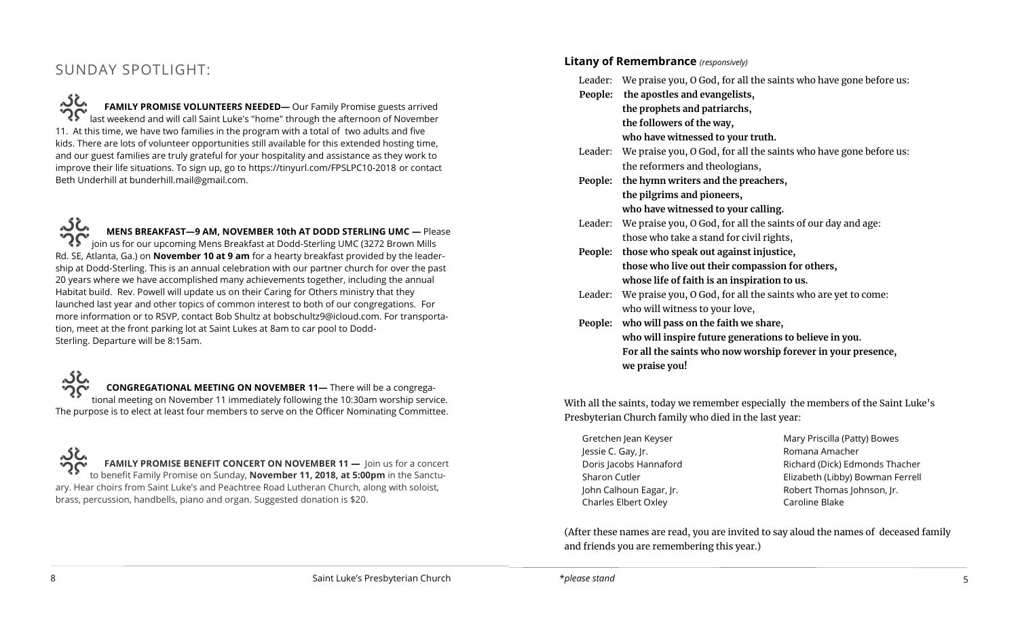# SUNDAY SPOTLIGHT:

**FAMILY PROMISE VOLUNTEERS NEEDED—** Our Family Promise guests arrived last weekend and will call Saint Luke's "home" through the afternoon of November 11. At this time, we have two families in the program with a total of two adults and five kids. There are lots of volunteer opportunities still available for this extended hosting time, and our guest families are truly grateful for your hospitality and assistance as they work to improve their life situations. To sign up, go to [https://tinyurl.com/FPSLPC10](https://tinyurl.com/FPSLPC10-2018)-2018 or contact Beth Underhill at bunderhill.mail@gmail.com.

کلہ **MENS BREAKFAST—9 AM, NOVEMBER 10th AT DODD STERLING UMC —** Please join us for our upcoming Mens Breakfast at Dodd-Sterling UMC (3272 Brown Mills Rd. SE, Atlanta, Ga.) on **November 10 at 9 am** for a hearty breakfast provided by the leadership at Dodd-Sterling. This is an annual celebration with our partner church for over the past 20 years where we have accomplished many achievements together, including the annual Habitat build. Rev. Powell will update us on their Caring for Others ministry that they launched last year and other topics of common interest to both of our congregations. For more information or to RSVP, contact Bob Shultz at [bobschultz9@icloud.com.](mailto:bobschultz9@icloud.com) For transportation, meet at the front parking lot at Saint Lukes at 8am to car pool to Dodd-Sterling. Departure will be 8:15am.

**CONGREGATIONAL MEETING ON NOVEMBER 11—** There will be a congregational meeting on November 11 immediately following the 10:30am worship service. The purpose is to elect at least four members to serve on the Officer Nominating Committee.

**FAMILY PROMISE BENEFIT CONCERT ON NOVEMBER 11 - Join us for a concert** to benefit Family Promise on Sunday, **November 11, 2018, at 5:00pm** in the Sanctuary. Hear choirs from Saint Luke's and Peachtree Road Lutheran Church, along with soloist, brass, percussion, handbells, piano and organ. Suggested donation is \$20.

#### **Litany of Remembrance** *(responsively)*

|         | <b>Eleany of Kenternorance</b> ( <i>responsively</i> )                    |
|---------|---------------------------------------------------------------------------|
|         | Leader: We praise you, O God, for all the saints who have gone before us: |
|         | People: the apostles and evangelists,                                     |
|         | the prophets and patriarchs,                                              |
|         | the followers of the way,                                                 |
|         | who have witnessed to your truth.                                         |
|         | Leader: We praise you, O God, for all the saints who have gone before us: |
|         | the reformers and theologians,                                            |
| People: | the hymn writers and the preachers,                                       |
|         | the pilgrims and pioneers,                                                |
|         | who have witnessed to your calling.                                       |
|         | Leader: We praise you, O God, for all the saints of our day and age:      |
|         | those who take a stand for civil rights,                                  |
|         | People: those who speak out against injustice,                            |
|         | those who live out their compassion for others,                           |
|         | whose life of faith is an inspiration to us.                              |
| Leader: | We praise you, O God, for all the saints who are yet to come:             |
|         | who will witness to your love,                                            |
|         | People: who will pass on the faith we share,                              |
|         | who will inspire future generations to believe in you.                    |
|         | For all the saints who now worship forever in your presence,              |
|         | we praise you!                                                            |

With all the saints, today we remember especially the members of the Saint Luke's Presbyterian Church family who died in the last year:

Gretchen Jean Keyser Jessie C. Gay, Jr. Doris Jacobs Hannaford Sharon Cutler John Calhoun Eagar, Jr. Charles Elbert Oxley

Mary Priscilla (Patty) Bowes Romana Amacher Richard (Dick) Edmonds Thacher Elizabeth (Libby) Bowman Ferrell Robert Thomas Johnson, Jr. Caroline Blake

(After these names are read, you are invited to say aloud the names of deceased family and friends you are remembering this year.)